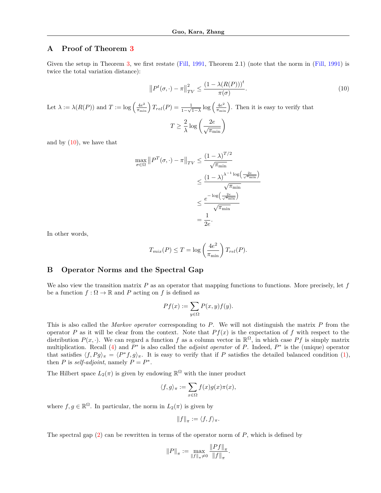## **A Proof of Theorem [3](#page-0-0)**

<span id="page-0-9"></span>Given the setup in Theorem [3,](#page-0-0) we first restate ([Fill,](#page-0-1) [1991](#page-0-1), Theorem 2.1) (note that the norm in [\(Fill](#page-0-1), 1991) is twice the total variation distance):

$$
||P^{t}(\sigma, \cdot) - \pi||_{TV}^{2} \leq \frac{(1 - \lambda(R(P)))^{t}}{\pi(\sigma)}.
$$
  
Let  $\lambda := \lambda(R(P))$  and  $T := \log\left(\frac{4e^{2}}{\pi_{\min}}\right)T_{rel}(P) = \frac{1}{1-\sqrt{1-\lambda}}\log\left(\frac{4e^{2}}{\pi_{\min}}\right)$ . Then it is easy to verify that  

$$
T \geq \frac{2}{\lambda}\log\left(\frac{2e}{\sqrt{\pi_{\min}}}\right)
$$
 (10)

and by  $(10)$  $(10)$ , we have that

<span id="page-0-6"></span><span id="page-0-4"></span><span id="page-0-2"></span>
$$
\max_{\sigma \in \Omega} ||P^T(\sigma, \cdot) - \pi||_{TV} \le \frac{\left(1 - \lambda\right)^{T/2}}{\sqrt{\pi_{\min}}} \\
\le \frac{\left(1 - \lambda\right)^{\lambda^{-1} \log\left(\frac{2e}{\sqrt{\pi_{\min}}}\right)}}{\sqrt{\pi_{\min}}} \\
\le \frac{e^{-\log\left(\frac{2e}{\sqrt{\pi_{\min}}}\right)}}{\sqrt{\pi_{\min}}} \\
= \frac{1}{2e}.
$$

In other words,

$$
T_{mix}(P) \le T = \log\left(\frac{4e^2}{\pi_{\min}}\right) T_{rel}(P).
$$

## **B Operator Norms and the Spectral Gap**

We also view the transition matrix *P* as an operator that mapping functions to functions. More precisely, let *f* be a function  $f : \Omega \to \mathbb{R}$  and P acting on f is defined as

<span id="page-0-7"></span><span id="page-0-3"></span><span id="page-0-0"></span>
$$
Pf(x) := \sum_{y \in \Omega} P(x, y) f(y).
$$

This is also called the *Markov operator* corresponding to *P*. We will not distinguish the matrix *P* from the operator *P* as it will be clear from the context. Note that  $Pf(x)$  is the expectation of *f* with respect to the distribution  $P(x, \cdot)$ . We can regard a function *f* as a column vector in  $\mathbb{R}^{\Omega}$ , in which case *Pf* is simply matrix multiplication. Recall ([4\)](#page-0-3) and *P*<sup>∗</sup> is also called the *adjoint operator* of *P*. Indeed, *P*<sup>∗</sup> is the (unique) operator that satisfies  $\langle f, Pg \rangle_{\pi} = \langle P^* f, g \rangle_{\pi}$ . It is easy to verify that if *P* satisfies the detailed balanced condition [\(1](#page-0-4)), then *P* is *self-adjoint*, namely  $P = P^*$ .

<span id="page-0-1"></span>The Hilbert space  $L_2(\pi)$  is given by endowing  $\mathbb{R}^{\Omega}$  with the inner product

<span id="page-0-5"></span>
$$
\langle f, g \rangle_\pi := \sum_{x \in \Omega} f(x) g(x) \pi(x),
$$

where  $f, g \in \mathbb{R}^{\Omega}$ . In particular, the norm in  $L_2(\pi)$  is given by

<span id="page-0-8"></span>
$$
||f||_{\pi} := \langle f, f \rangle_{\pi}.
$$

The spectral gap [\(2](#page-0-5)) can be rewritten in terms of the operator norm of *P*, which is defined by

$$
||P||_{\pi} := \max_{||f||_{\pi} \neq 0} \frac{||Pf||_{\pi}}{||f||_{\pi}}.
$$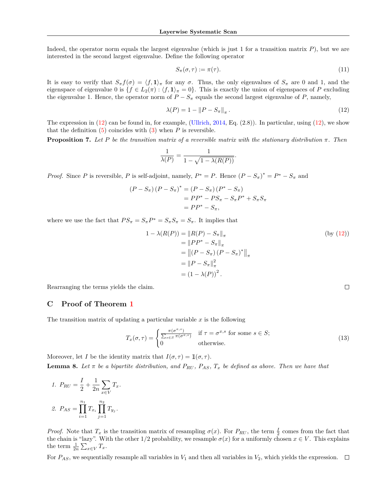Indeed, the operator norm equals the largest eigenvalue (which is just 1 for a transition matrix *P*), but we are interested in the second largest eigenvalue. Define the following operator

<span id="page-1-1"></span><span id="page-1-0"></span>
$$
S_{\pi}(\sigma,\tau) := \pi(\tau). \tag{11}
$$

It is easy to verify that  $S_{\pi} f(\sigma) = \langle f, 1 \rangle_{\pi}$  for any  $\sigma$ . Thus, the only eigenvalues of  $S_{\pi}$  are 0 and 1, and the eigenspace of eigenvalue 0 is  $\{f \in L_2(\pi) : \langle f, 1 \rangle_\pi = 0\}$ . This is exactly the union of eigenspaces of *P* excluding the eigenvalue 1. Hence, the operator norm of  $P - S_\pi$  equals the second largest eigenvalue of *P*, namely,

$$
\lambda(P) = 1 - \|P - S_{\pi}\|_{\pi}.
$$
\n(12)

The expression in  $(12)$  $(12)$  can be found in, for example, [\(Ullrich,](#page-0-6) [2014](#page-0-6), Eq.  $(2.8)$ ). In particular, using  $(12)$  $(12)$ , we show that the definition  $(5)$  $(5)$  coincides with  $(3)$  $(3)$  $(3)$  when *P* is reversible.

**Proposition 7.** Let *P* be the transition matrix of a reversible matrix with the stationary distribution  $\pi$ . Then

$$
\frac{1}{\lambda(P)} = \frac{1}{1 - \sqrt{1 - \lambda(R(P))}}.
$$

*Proof.* Since *P* is reversible, *P* is self-adjoint, namely,  $P^* = P$ . Hence  $(P - S_\pi)^* = P^* - S_\pi$  and

$$
(P - S_{\pi})(P - S_{\pi})^* = (P - S_{\pi})(P^* - S_{\pi})
$$
  
=  $PP^* - PS_{\pi} - S_{\pi}P^* + S_{\pi}S_{\pi}$   
=  $PP^* - S_{\pi}$ ,

where we use the fact that  $PS_{\pi} = S_{\pi}P^* = S_{\pi}S_{\pi} = S_{\pi}$ . It implies that

$$
1 - \lambda(R(P)) = ||R(P) - S_{\pi}||_{\pi}
$$
  
\n
$$
= ||PP^* - S_{\pi}||_{\pi}
$$
  
\n
$$
= ||(P - S_{\pi})(P - S_{\pi})^*||_{\pi}
$$
  
\n
$$
= ||P - S_{\pi}||_{\pi}^2
$$
  
\n
$$
= (1 - \lambda(P))^2.
$$
  
\n(by (12))

 $\Box$ 

Rearranging the terms yields the claim.

## **C Proof of Theorem [1](#page-0-9)**

The transition matrix of updating a particular variable *x* is the following

$$
T_x(\sigma, \tau) = \begin{cases} \frac{\pi(\sigma^{x,s})}{\sum_{s \in S} \pi(\sigma^{x,s})} & \text{if } \tau = \sigma^{x,s} \text{ for some } s \in S; \\ 0 & \text{otherwise.} \end{cases}
$$
 (13)

Moreover, let *I* be the identity matrix that  $I(\sigma, \tau) = \mathbb{1}(\sigma, \tau)$ . **Lemma 8.** Let  $\pi$  be a bipartite distribution, and  $P_{RU}$ ,  $P_{AS}$ ,  $T_x$  be defined as above. Then we have that

1. 
$$
P_{RU} = \frac{I}{2} + \frac{1}{2n} \sum_{x \in V} T_x
$$
.  
2.  $P_{AS} = \prod_{i=1}^{n_1} T_{x_i} \prod_{j=1}^{n_2} T_{y_j}$ .

*Proof.* Note that  $T_x$  is the transition matrix of resampling  $\sigma(x)$ . For  $P_{RU}$ , the term  $\frac{1}{2}$  comes from the fact that the chain is "lazy". With the other  $1/2$  probability, we resample  $\sigma(x)$  for a uniformly chosen  $x \in V$ . This explains the term  $\frac{1}{2n} \sum_{x \in V} T_x$ .

For  $P_{AS}$ , we sequentially resample all variables in  $V_1$  and then all variables in  $V_2$ , which yields the expression.  $\Box$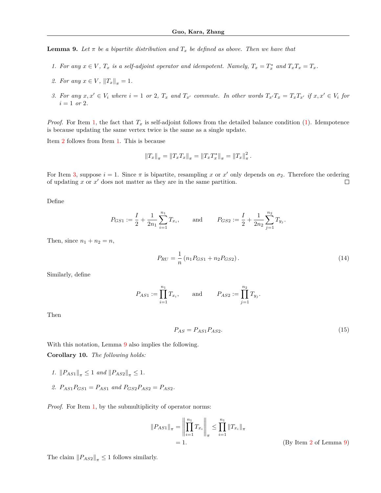<span id="page-2-3"></span>**Lemma 9.** Let  $\pi$  be a bipartite distribution and  $T_x$  be defined as above. Then we have that

- <span id="page-2-0"></span>1. For any  $x \in V$ ,  $T_x$  is a self-adjoint operator and idempotent. Namely,  $T_x = T_x^*$  and  $T_xT_x = T_x$ .
- <span id="page-2-1"></span>*2. For any*  $x \in V$ ,  $||T_x||_{\pi} = 1$ .
- <span id="page-2-2"></span>3. For any  $x, x' \in V_i$  where  $i = 1$  or 2,  $T_x$  and  $T_{x'}$  commute. In other words  $T_{x'}T_x = T_xT_{x'}$  if  $x, x' \in V_i$  for  $i = 1$  *or* 2*.*

*Proof.* For Item [1](#page-2-0), the fact that  $T_x$  is self-adjoint follows from the detailed balance condition  $(1)$  $(1)$ . Idempotence is because updating the same vertex twice is the same as a single update.

Item [2](#page-2-1) follows from Item [1](#page-2-0). This is because

$$
||T_x||_{\pi} = ||T_xT_x||_{\pi} = ||T_xT_x^*||_{\pi} = ||T_x||_{\pi}^2.
$$

For Item [3](#page-2-2), suppose  $i = 1$ . Since  $\pi$  is bipartite, resampling x or x' only depends on  $\sigma_2$ . Therefore the ordering of updating *x* or *x*′ does not matter as they are in the same partition.  $\Box$ 

Define

$$
P_{GS1} := \frac{I}{2} + \frac{1}{2n_1} \sum_{i=1}^{n_1} T_{x_i}, \quad \text{and} \quad P_{GS2} := \frac{I}{2} + \frac{1}{2n_2} \sum_{j=1}^{n_2} T_{y_j}.
$$

Then, since  $n_1 + n_2 = n$ ,

<span id="page-2-7"></span>
$$
P_{RU} = \frac{1}{n} \left( n_1 P_{GS1} + n_2 P_{GS2} \right). \tag{14}
$$

Similarly, define

$$
P_{AS1} := \prod_{i=1}^{n_1} T_{x_i}
$$
, and  $P_{AS2} := \prod_{j=1}^{n_2} T_{y_j}$ .

Then

$$
P_{AS} = P_{AS1} P_{AS2}.\tag{15}
$$

<span id="page-2-6"></span>With this notation, Lemma [9](#page-2-3) also implies the following. **Corollary 10.** *The following holds:*

- <span id="page-2-4"></span>*1.*  $||P_{AS1}||_{\pi} \leq 1$  *and*  $||P_{AS2}||_{\pi} \leq 1$ *.*
- <span id="page-2-5"></span>2.  $P_{AS1}P_{GS1} = P_{AS1}$  and  $P_{GS2}P_{AS2} = P_{AS2}$ .

*Proof.* For Item [1](#page-2-4), by the submultiplicity of operator norms:

$$
||P_{AS1}||_{\pi} = \left\| \prod_{i=1}^{n_1} T_{x_i} \right\|_{\pi} \le \prod_{i=1}^{n_1} ||T_{x_i}||_{\pi}
$$
  
= 1. (By

The claim  $||P_{AS2}||_{\pi} \leq 1$  follows similarly.

<span id="page-2-8"></span>Item [2](#page-2-1) of Lemma [9\)](#page-2-3)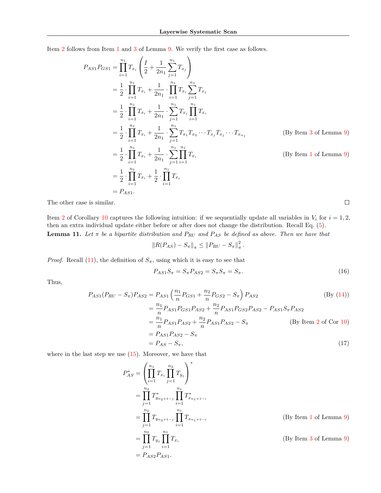$\overline{\phantom{a}}$ 

Item [2](#page-2-5) follows from Item [1](#page-2-0) and [3](#page-2-2) of Lemma [9](#page-2-3). We verify the first case as follows.

 $\lambda$ 

$$
P_{AS1}P_{GS1} = \prod_{i=1}^{n_1} T_{x_i} \left( \frac{I}{2} + \frac{1}{2n_1} \sum_{j=1}^{n_1} T_{x_j} \right)
$$
  
\n
$$
= \frac{1}{2} \cdot \prod_{i=1}^{n_1} T_{x_i} + \frac{1}{2n_1} \cdot \prod_{i=1}^{n_1} T_{x_i} \sum_{j=1}^{n_1} T_{x_j}
$$
  
\n
$$
= \frac{1}{2} \cdot \prod_{i=1}^{n_1} T_{x_i} + \frac{1}{2n_1} \cdot \sum_{j=1}^{n_1} T_{x_j} \prod_{i=1}^{n_1} T_{x_i}
$$
  
\n
$$
= \frac{1}{2} \cdot \prod_{i=1}^{n_1} T_{x_i} + \frac{1}{2n_1} \cdot \sum_{j=1}^{n_1} T_{x_j} T_{x_j} \cdots T_{x_j} T_{x_j} \cdots T_{x_{n_1}}
$$
 (By Item 3 of Lemma 9)  
\n
$$
= \frac{1}{2} \cdot \prod_{i=1}^{n_1} T_{x_i} + \frac{1}{2n_1} \cdot \sum_{j=1}^{n_1} \prod_{i=1}^{n_1} T_{x_i}
$$
 (By Item 1 of Lemma 9)  
\n
$$
= \frac{1}{2} \cdot \prod_{i=1}^{n_1} T_{x_i} + \frac{1}{2} \cdot \prod_{i=1}^{n_1} T_{x_i}
$$
  
\n
$$
= P_{AS1}.
$$

The other case is similar.

<span id="page-3-2"></span>Item [2](#page-2-5) of Corollary [10](#page-2-6) captures the following intuition: if we sequentially update all variables in  $V_i$  for  $i = 1, 2$ , then an extra individual update either before or after does not change the distribution. Recall Eq. ([5\)](#page-0-7). **Lemma 11.** *Let*  $\pi$  *be a bipartite distribution and*  $P_{RU}$  *and*  $P_{AS}$  *be defined as above. Then we have that* 

$$
||R(P_{AS}) - S_{\pi}||_{\pi} \leq ||P_{RU} - S_{\pi}||_{\pi}^{2}.
$$

*Proof.* Recall ([11\)](#page-1-1), the definition of  $S_\pi$ , using which it is easy to see that

$$
P_{AS1}S_{\pi} = S_{\pi}P_{AS2} = S_{\pi}S_{\pi} = S_{\pi}.
$$
\n(16)

Thus,

$$
P_{AS1}(P_{RU} - S_{\pi})P_{AS2} = P_{AS1} \left(\frac{n_1}{n} P_{GS1} + \frac{n_2}{n} P_{GS2} - S_{\pi}\right) P_{AS2}
$$
\n
$$
= \frac{n_1}{n} P_{AS1} P_{GS1} P_{AS2} + \frac{n_2}{n} P_{AS1} P_{GS2} P_{AS2} - P_{AS1} S_{\pi} P_{AS2}
$$
\n
$$
= \frac{n_1}{n} P_{AS1} P_{AS2} + \frac{n_2}{n} P_{AS1} P_{AS2} - S_{\pi}
$$
\n
$$
= P_{AS1} P_{AS2} - S_{\pi}
$$
\n
$$
= P_{AS} - S_{\pi},
$$
\n(17)

where in the last step we use  $(15)$  $(15)$ . Moreover, we have that

$$
P_{AS}^{*} = \left(\prod_{i=1}^{n_1} T_{x_i} \prod_{j=1}^{n_2} T_{y_j}\right)^*
$$
  
\n
$$
= \prod_{j=1}^{n_2} T_{y_{n_2+1-j}}^{*} \prod_{i=1}^{n_1} T_{x_{n_1+1-i}}^{*}
$$
  
\n
$$
= \prod_{j=1}^{n_2} T_{y_{n_2+1-j}} \prod_{i=1}^{n_1} T_{x_{n_1+1-i}}
$$
  
\n
$$
= \prod_{j=1}^{n_2} T_{y_j} \prod_{i=1}^{n_1} T_{x_i}
$$
  
\n
$$
= P_{AS2}P_{AS1}.
$$
  
\n(By Item 1 of Lemma 9)

<span id="page-3-1"></span><span id="page-3-0"></span> $\Box$